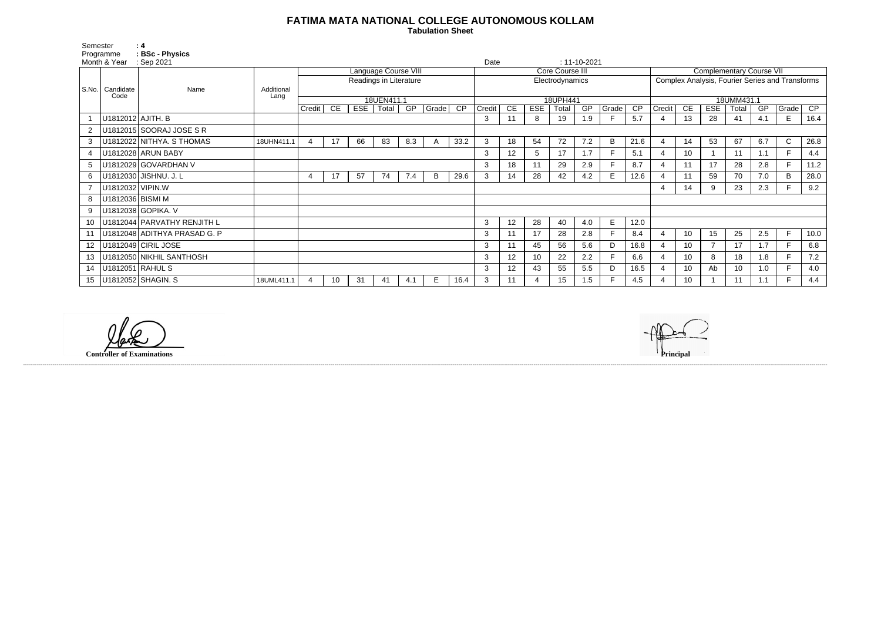## **FATIMA MATA NATIONAL COLLEGE AUTONOMOUS KOLLAM**

 **Tabulation Sheet** 

| Semester<br>Programme |                         | : 4<br>: BSc - Physics            |                    |                        |    |     |       |     |                 |                        |                            |    |                 |       |     |                                                 |                                 |                |                 |            |       |     |              |      |
|-----------------------|-------------------------|-----------------------------------|--------------------|------------------------|----|-----|-------|-----|-----------------|------------------------|----------------------------|----|-----------------|-------|-----|-------------------------------------------------|---------------------------------|----------------|-----------------|------------|-------|-----|--------------|------|
| Month & Year          |                         | Sep 2021                          |                    |                        |    |     |       |     |                 |                        | Date<br>$: 11 - 10 - 2021$ |    |                 |       |     |                                                 |                                 |                |                 |            |       |     |              |      |
|                       | Candidate<br>Code       | Name                              |                    | Language Course VIII   |    |     |       |     |                 | <b>Core Course III</b> |                            |    |                 |       |     |                                                 | <b>Complementary Course VII</b> |                |                 |            |       |     |              |      |
|                       |                         |                                   |                    | Readings in Literature |    |     |       |     | Electrodynamics |                        |                            |    |                 |       |     | Complex Analysis, Fourier Series and Transforms |                                 |                |                 |            |       |     |              |      |
| S.No.                 |                         |                                   | Additional<br>Lang |                        |    |     |       |     |                 |                        |                            |    |                 |       |     |                                                 |                                 |                |                 |            |       |     |              |      |
|                       |                         |                                   |                    | 18UEN411.1             |    |     |       |     |                 | 18UPH441               |                            |    |                 |       |     |                                                 | 18UMM431.1                      |                |                 |            |       |     |              |      |
|                       |                         |                                   |                    | Credit                 | CE | EST | Total | GP  | Grade           | CP                     | Credit                     | CE | <b>ESE</b>      | Total | GP  | Grade                                           | $\overline{CP}$                 | Credit         | CE              | <b>ESE</b> | Total | GP  | Grade        | CP   |
|                       | U1812012 AJITH. B       |                                   |                    |                        |    |     |       |     |                 |                        | 3                          | 11 | 8               | 19    | 1.9 |                                                 | 5.7                             | $\overline{4}$ | 13              | 28         | 41    | 4.1 | E            | 16.4 |
|                       |                         | U1812015 SOORAJ JOSE S R          |                    |                        |    |     |       |     |                 |                        |                            |    |                 |       |     |                                                 |                                 |                |                 |            |       |     |              |      |
| 3                     |                         | U1812022 NITHYA. S THOMAS         | 18UHN411.1         | 4                      | 17 | 66  | 83    | 8.3 | A               | 33.2                   | 3                          | 18 | 54              | 72    | 7.2 | B                                               | 21.6                            |                | 14              | 53         | 67    | 6.7 | $\mathsf{C}$ | 26.8 |
|                       |                         | U1812028 ARUN BABY                |                    |                        |    |     |       |     |                 |                        | 3                          | 12 | 5               | 17    | 1.7 | F                                               | 5.1                             | $\overline{4}$ | 10 <sup>°</sup> |            | 11    | 1.1 |              | 4.4  |
|                       |                         | U1812029 GOVARDHAN V              |                    |                        |    |     |       |     |                 |                        | 3                          | 18 | 11              | 29    | 2.9 |                                                 | 8.7                             | $\overline{4}$ | 11              | 17         | 28    | 2.8 |              | 11.2 |
| 6                     |                         | U1812030 JISHNU. J. L             |                    | 4                      | 17 | 57  | 74    | 7.4 | B               | 29.6                   | 3                          | 14 | 28              | 42    | 4.2 | E.                                              | 12.6                            |                | 11              | 59         | 70    | 7.0 | B            | 28.0 |
|                       | U1812032 VIPIN.W        |                                   |                    |                        |    |     |       |     |                 |                        |                            |    |                 |       |     |                                                 |                                 | $\overline{4}$ | 14              | 9          | 23    | 2.3 |              | 9.2  |
| 8                     | U1812036 BISMI M        |                                   |                    |                        |    |     |       |     |                 |                        |                            |    |                 |       |     |                                                 |                                 |                |                 |            |       |     |              |      |
| 9                     |                         | U1812038 GOPIKA. V                |                    |                        |    |     |       |     |                 |                        |                            |    |                 |       |     |                                                 |                                 |                |                 |            |       |     |              |      |
| 10 <sup>1</sup>       |                         | U1812044 PARVATHY RENJITH L       |                    |                        |    |     |       |     |                 |                        | 3                          | 12 | 28              | 40    | 4.0 | E                                               | 12.0                            |                |                 |            |       |     |              |      |
|                       |                         | 11   U1812048 ADITHYA PRASAD G. P |                    |                        |    |     |       |     |                 |                        | 3                          | 11 | 17              | 28    | 2.8 | E                                               | 8.4                             | 4              | 10 <sup>°</sup> | 15         | 25    | 2.5 | E            | 10.0 |
|                       |                         | 12   U1812049 CIRIL JOSE          |                    |                        |    |     |       |     |                 |                        | 3                          | 11 | 45              | 56    | 5.6 | D                                               | 16.8                            |                | 10 <sup>°</sup> |            | 17    | 1.7 |              | 6.8  |
| 13                    |                         | U1812050 NIKHIL SANTHOSH          |                    |                        |    |     |       |     |                 |                        | 3                          | 12 | 10 <sup>°</sup> | 22    | 2.2 | E                                               | 6.6                             |                | 10 <sup>°</sup> | 8          | 18    | 1.8 | F.           | 7.2  |
|                       | 14   U1812051   RAHUL S |                                   |                    |                        |    |     |       |     |                 |                        | 3                          | 12 | 43              | 55    | 5.5 | D                                               | 16.5                            |                | 10 <sup>°</sup> | Ab         | 10    | 1.0 |              | 4.0  |
|                       |                         | 15   U1812052   SHAGIN. S         | 18UML411.1         |                        | 10 | 31  | -41   | 4.1 | E.              | 16.4                   | 3                          | 11 |                 | 15    | 1.5 |                                                 | 4.5                             |                | 10              |            | 11    | 1.1 | Е            | 4.4  |

**Controller of Examinations Principal**

------------------------------------------------------------------------------------------------------------------------------------------------------------------------------------------------------------------------------------------------------------------------------------------------------------------------------------------------------------------------------------------------------------------------